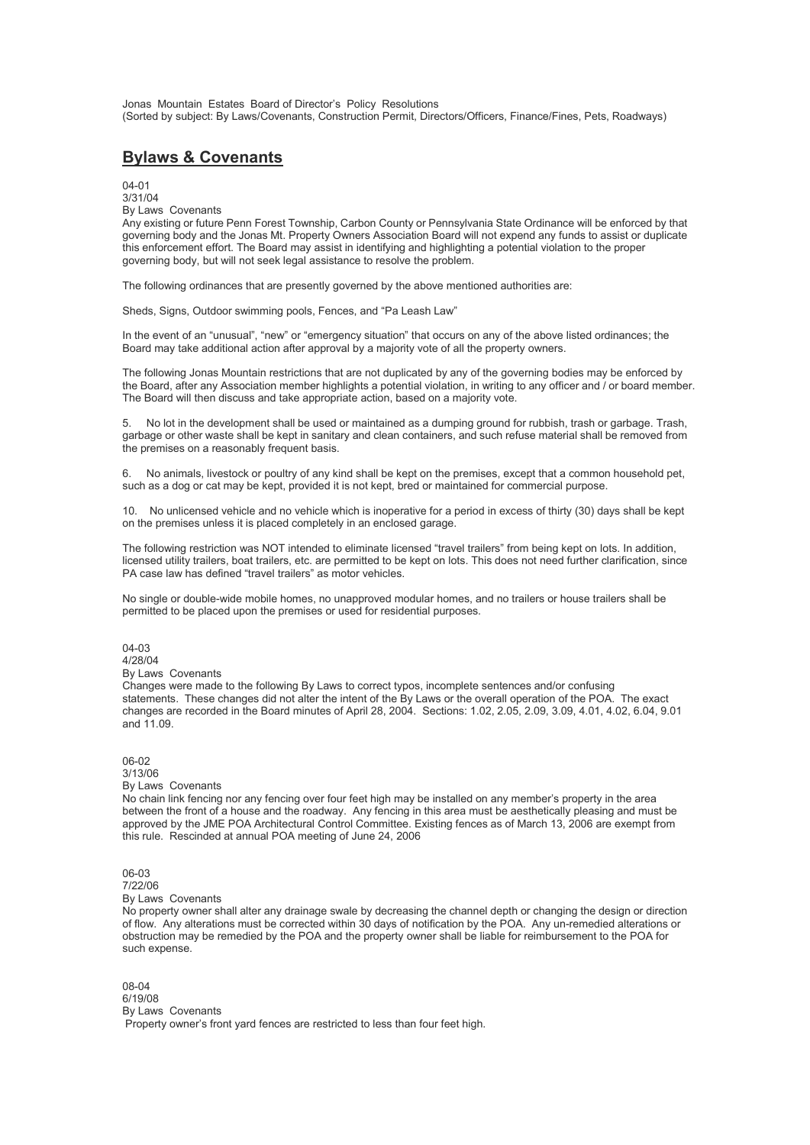Jonas Mountain Estates Board of Director's Policy Resolutions (Sorted by subject: By Laws/Covenants, Construction Permit, Directors/Officers, Finance/Fines, Pets, Roadways)

# **Bylaws & Covenants**

04-01

3/31/04 By Laws Covenants

Any existing or future Penn Forest Township, Carbon County or Pennsylvania State Ordinance will be enforced by that governing body and the Jonas Mt. Property Owners Association Board will not expend any funds to assist or duplicate this enforcement effort. The Board may assist in identifying and highlighting a potential violation to the proper governing body, but will not seek legal assistance to resolve the problem.

The following ordinances that are presently governed by the above mentioned authorities are:

Sheds, Signs, Outdoor swimming pools, Fences, and "Pa Leash Law"

In the event of an "unusual", "new" or "emergency situation" that occurs on any of the above listed ordinances; the Board may take additional action after approval by a majority vote of all the property owners.

The following Jonas Mountain restrictions that are not duplicated by any of the governing bodies may be enforced by the Board, after any Association member highlights a potential violation, in writing to any officer and / or board member. The Board will then discuss and take appropriate action, based on a majority vote.

5. No lot in the development shall be used or maintained as a dumping ground for rubbish, trash or garbage. Trash, garbage or other waste shall be kept in sanitary and clean containers, and such refuse material shall be removed from the premises on a reasonably frequent basis.

6. No animals, livestock or poultry of any kind shall be kept on the premises, except that a common household pet, such as a dog or cat may be kept, provided it is not kept, bred or maintained for commercial purpose.

10. No unlicensed vehicle and no vehicle which isinoperative for a period in excess of thirty (30) days shall be kept on the premises unless it is placed completely in an enclosed garage.

The following restriction was NOT intended to eliminate licensed "travel trailers" from being kept on lots. In addition, licensed utility trailers, boat trailers, etc. are permitted to be kept on lots. This does not need further clarification, since PA case law has defined "travel trailers" as motor vehicles.

No single or double-wide mobile homes, no unapproved modular homes, and no trailers or house trailers shall be permitted to be placed upon the premises or used for residential purposes.

04-03 4/28/04

By Laws Covenants

Changes were made to the following By Laws to correct typos, incomplete sentences and/or confusing statements. These changes did not alter the intent of the By Laws or the overall operation of the POA. The exact changes are recorded in the Board minutes of April 28, 2004. Sections: 1.02, 2.05, 2.09, 3.09, 4.01, 4.02, 6.04, 9.01 and 11.09.

06-02

3/13/06 By Laws Covenants

No chain link fencing nor any fencing over four feet high may be installed on any member's property in the area between the front of a house and the roadway. Any fencing in this area must be aesthetically pleasing and must be approved by the JME POA Architectural Control Committee. Existing fences as of March 13, 2006 are exempt from this rule. Rescinded at annual POA meeting of June 24, 2006

06-03 7/22/06

By Laws Covenants

No property owner shall alter any drainage swale by decreasing the channel depth or changing the design or direction of flow. Any alterations must be corrected within 30 days of notification by the POA. Any un-remedied alterations or obstruction may be remedied by the POA and the property owner shall be liable for reimbursement to the POA for such expense.

08-04 6/19/08 By Laws Covenants Property owner's front yard fences are restricted to less than four feet high.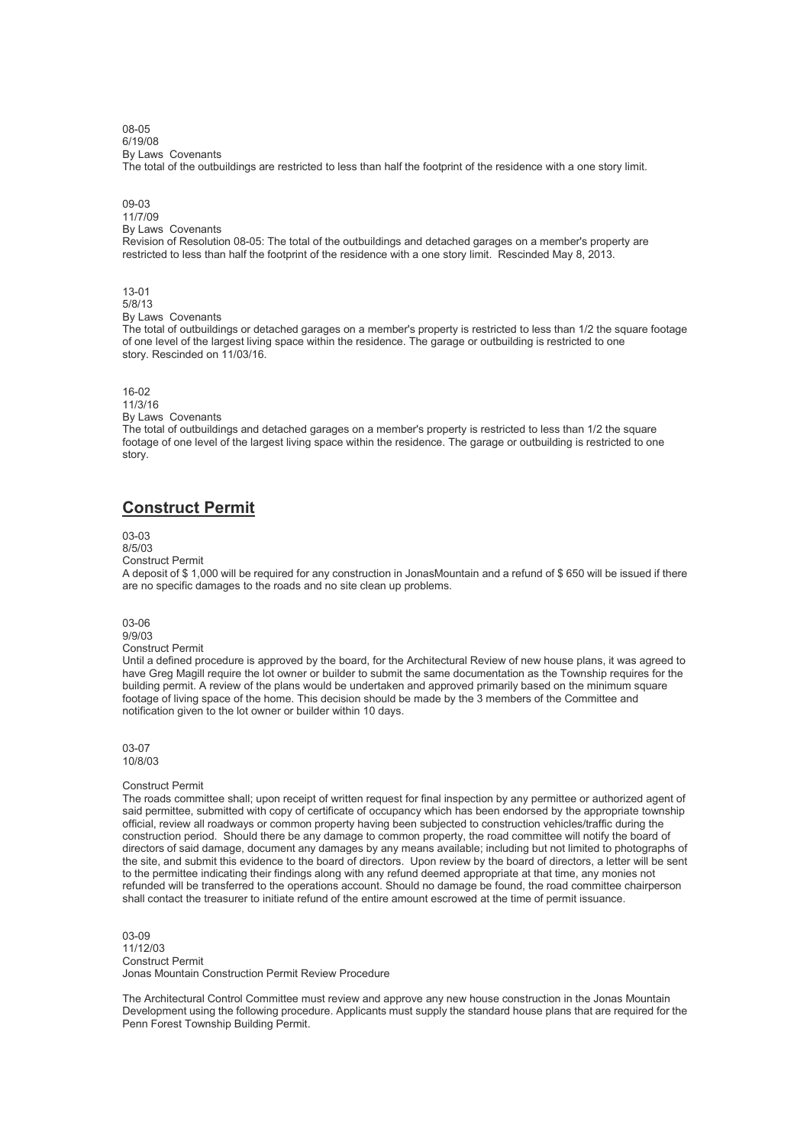08-05 6/19/08 By Laws Covenants

The total of the outbuildings are restricted to less than half the footprint of the residence with a one story limit.

09-03 11/7/09 By Laws Covenants

Revision of Resolution 08-05: The total of the outbuildings and detached garages on a member's property are restricted to less than half the footprint of the residence with a one story limit. Rescinded May 8, 2013.

13-01 5/8/13 By Laws Covenants

The total of outbuildings or detached garages on a member's property is restricted to less than 1/2 the square footage of one level of the largest living space within the residence. The garage or outbuilding is restricted to one story. Rescinded on 11/03/16.

16-02

11/3/16

By Laws Covenants

The total of outbuildings and detached garages on a member's property is restricted to less than 1/2 the square footage of one level of the largest living space within the residence. The garage or outbuilding is restricted to one story.

# **Construct Permit**

03-03 8/5/03

Construct Permit

A deposit of \$ 1,000 will be required for any construction in JonasMountain and a refund of \$ 650 will be issued if there are no specific damages to the roads and no site clean up problems.

03-06 9/9/03

Construct Permit

Until a defined procedure is approved by the board, for the Architectural Review of new house plans, it was agreed to have Greg Magill require the lot owner or builder to submit the same documentation as the Township requires for the building permit. A review of the plans would be undertaken and approved primarily based on the minimum square footage of living space of the home. This decision should be made by the 3 members of the Committee and notification given to the lot owner or builder within 10 days.

03-07 10/8/03

### Construct Permit

The roads committee shall; upon receipt of written request for final inspection by any permittee or authorized agent of said permittee, submitted with copy of certificate of occupancy which has been endorsed by the appropriate township official, review all roadways or common property having been subjected to construction vehicles/traffic during the construction period. Should there be any damage to common property, the road committee will notify the board of directors of said damage, document any damages by any means available; including but not limited to photographs of the site, and submit this evidence to the board of directors. Upon review by the board of directors, a letter will be sent to the permittee indicating their findings along with any refund deemed appropriate at that time, any monies not refunded will be transferred to the operations account. Should no damage be found, the road committee chairperson shall contact the treasurer to initiate refund of the entire amount escrowed at the time of permit issuance.

03-09 11/12/03 Construct Permit Jonas Mountain Construction Permit Review Procedure

The Architectural Control Committee must review and approve any new house construction in the Jonas Mountain Development using the following procedure. Applicants must supply the standard house plans that are required for the Penn Forest Township Building Permit.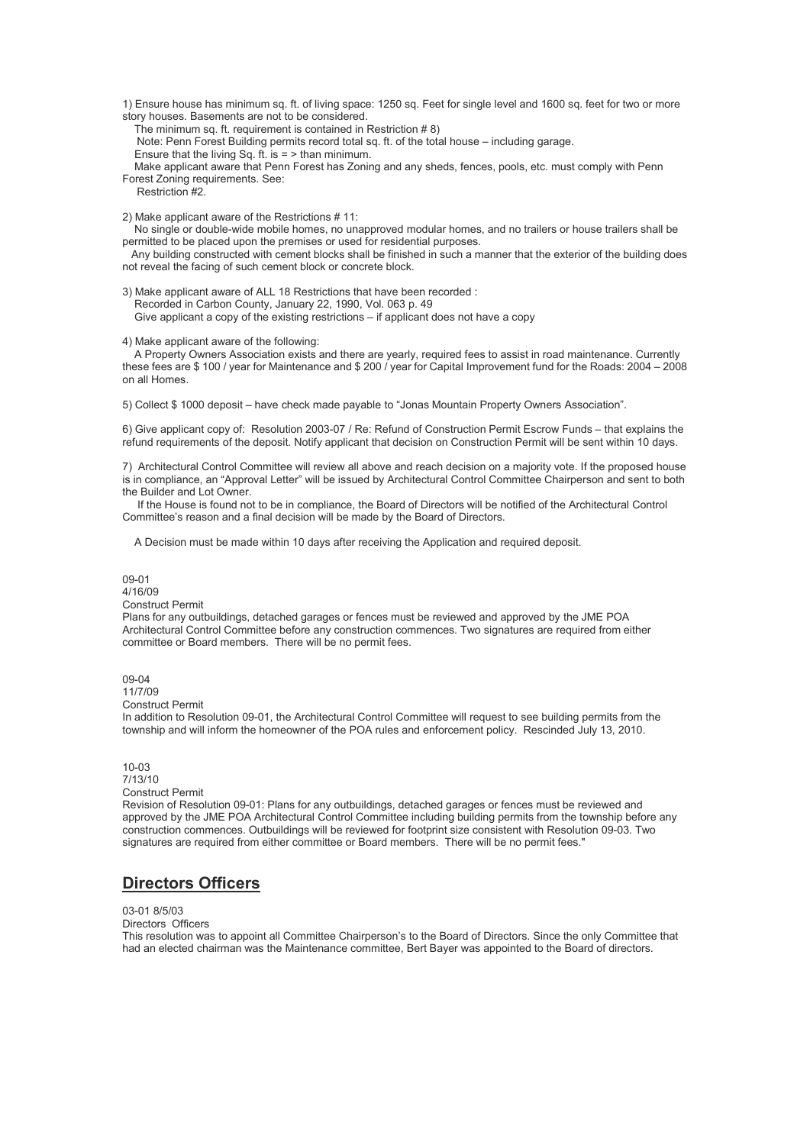1) Ensure house has minimum sq. ft. of living space: 1250 sq. Feet for single level and 1600 sq. feet for two or more story houses. Basements are not to be considered.

The minimum sq. ft. requirement is contained in Restriction # 8)

Note: Penn Forest Building permits record total sq. ft. of the total house – including garage.

Ensure that the living Sq. ft. is  $=$  > than minimum.

Make applicant aware that Penn Forest has Zoning and any sheds, fences, pools, etc. must comply with Penn Forest Zoning requirements. See:

Restriction #2.

2) Make applicant aware of the Restrictions # 11:

No single or double-wide mobile homes, no unapproved modular homes, and no trailers or house trailers shall be permitted to be placed upon the premises or used for residential purposes.

Any building constructed with cement blocks shall be finished in such a manner that the exterior of the building does not reveal the facing of such cement block or concrete block.

3) Make applicant aware of ALL 18 Restrictions that have been recorded : Recorded in Carbon County, January 22, 1990, Vol. 063 p. 49 Give applicant a copy of the existing restrictions – if applicant does not have a copy

4) Make applicant aware of the following:

A Property Owners Association exists and there are yearly, required fees to assist in road maintenance. Currently these fees are \$ 100 / year for Maintenance and \$ 200 / year for Capital Improvement fund for the Roads: 2004 – 2008 on all Homes.

5) Collect \$ 1000 deposit – have check made payable to "Jonas Mountain Property Owners Association".

6) Give applicant copy of: Resolution 2003-07 / Re: Refund of Construction Permit Escrow Funds – that explains the refund requirements of the deposit. Notify applicant that decision on Construction Permit will be sent within 10 days.

7) Architectural Control Committee will review all above and reach decision on a majority vote. If the proposed house is in compliance, an "Approval Letter" will be issued by Architectural Control Committee Chairperson and sent to both the Builder and Lot Owner.

If the House is found not to be in compliance, the Board of Directors will be notified of the Architectural Control Committee's reason and a final decision will be made by the Board of Directors.

A Decision must be made within 10 days after receiving the Application and required deposit.

### 09-01

4/16/09 Construct Permit

Plans for any outbuildings, detached garages or fences must be reviewed and approved by the JME POA Architectural Control Committee before any construction commences. Two signatures are required from either committee or Board members. There will be no permit fees.

09-04

11/7/09 Construct Permit

In addition to Resolution 09-01, the Architectural Control Committee will request to see building permits from the township and will inform the homeowner of the POA rules and enforcement policy. Rescinded July 13, 2010.

### 10-03 7/13/10 Construct Permit

Revision of Resolution 09-01: Plans for any outbuildings, detached garages or fences must be reviewed and approved by the JME POA Architectural Control Committee including building permits from the township before any construction commences. Outbuildings will be reviewed for footprintsize consistent with Resolution 09-03. Two signatures are required from either committee or Board members. There will be no permit fees."

## **Directors Officers**

03-01 8/5/03

Directors Officers

This resolution was to appoint all Committee Chairperson's to the Board of Directors. Since the only Committee that had an elected chairman was the Maintenance committee, Bert Bayer was appointed to the Board of directors.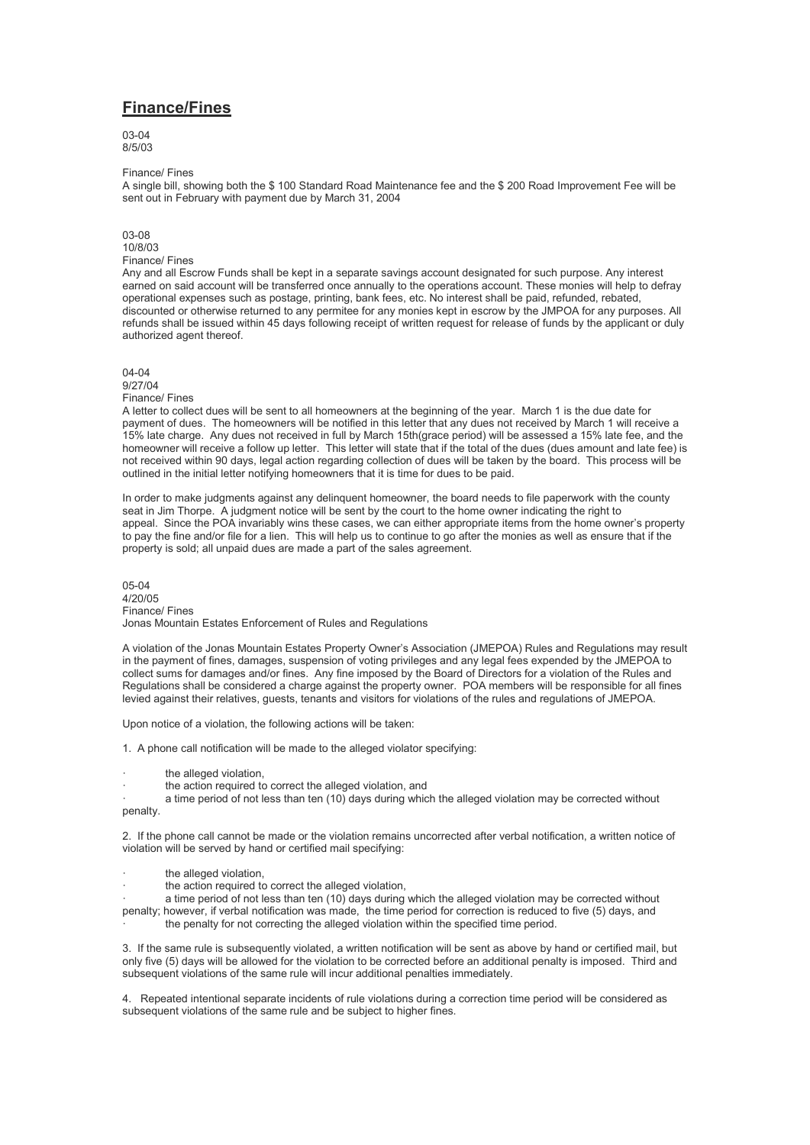# **Finance/Fines**

03-04 8/5/03

## Finance/ Fines

A single bill, showing both the \$ 100 Standard Road Maintenance fee and the \$ 200 Road Improvement Fee will be sent out in February with payment due by March 31, 2004

## 03-08

10/8/03 Finance/ Fines

Any and all Escrow Funds shall be kept in a separate savings account designated for such purpose. Any interest earned on said account will be transferred once annually to the operations account. These monies will help to defray operational expenses such as postage, printing, bank fees, etc. No interest shall be paid, refunded, rebated, discounted or otherwise returned to any permitee for any monies kept in escrow by the JMPOA for any purposes. All refunds shall be issued within 45 days following receipt of written request for release of funds by the applicant or duly authorized agent thereof.

04-04

#### 9/27/04 Finance/ Fines

A letter to collect dues will be sent to all homeowners at the beginning of the year. March 1 isthe due date for payment of dues. The homeowners will be notified in this letter that any dues not received by March 1 will receive a 15% late charge. Any dues not received in full by March 15th(grace period) will be assessed a 15% late fee, and the homeowner will receive a follow up letter. This letter will state that if the total of the dues (dues amount and late fee) is not received within 90 days, legal action regarding collection of dues will be taken by the board. This process will be outlined in the initial letter notifying homeowners that it is time for dues to be paid.

In order to make judgments against any delinquent homeowner, the board needs to file paperwork with the county seat in Jim Thorpe. A judgment notice will be sent by the court to the home owner indicating the right to appeal. Since the POA invariably wins these cases, we can either appropriate items from the home owner's property to pay the fine and/or file for a lien. This will help us to continue to go after the monies as well as ensure that if the property is sold; all unpaid dues are made a part of the sales agreement.

05-04 4/20/05 Finance/ Fines Jonas Mountain Estates Enforcement of Rules and Regulations

A violation of the Jonas Mountain Estates Property Owner's Association (JMEPOA) Rules and Regulations may result in the payment of fines, damages, suspension of voting privileges and any legal fees expended by the JMEPOA to collect sums for damages and/or fines. Any fine imposed by the Board of Directors for a violation of the Rules and Regulations shall be considered a charge against the property owner. POA members will be responsible for all fines levied against their relatives, guests, tenants and visitors for violations of the rules and regulations of JMEPOA.

Upon notice of a violation, the following actions will be taken:

1. A phone call notification will be made to the alleged violator specifying:

- the alleged violation,
	- the action required to correct the alleged violation, and

a time period of not less than ten (10) days during which the alleged violation may be corrected without penalty.

2. If the phone call cannot be made or the violation remains uncorrected after verbal notification, a written notice of violation will be served by hand or certified mail specifying:

- the alleged violation,
- the action required to correct the alleged violation,

a time period of not less than ten (10) days during which the alleged violation may be corrected without penalty; however, if verbal notification was made, the time period for correction is reduced to five (5) days, and

the penalty for not correcting the alleged violation within the specified time period.

3. If the same rule is subsequently violated, a written notification will be sent as above by hand or certified mail, but only five (5) days will be allowed for the violation to be corrected before an additional penalty is imposed. Third and subsequent violations of the same rule will incur additional penalties immediately.

4. Repeated intentional separate incidents ofrule violations during a correction time period will be considered as subsequent violations of the same rule and be subject to higher fines.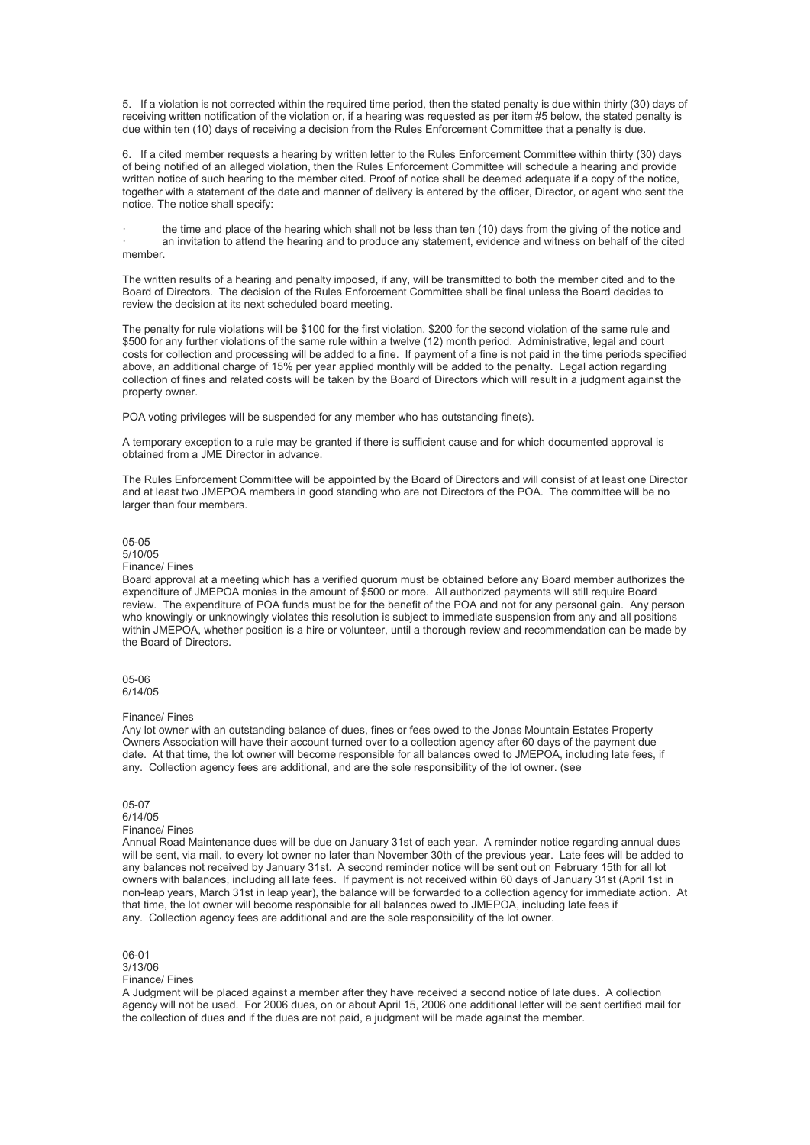5. If a violation is not corrected within the required time period, then the stated penalty is due within thirty (30) days of receiving written notification of the violation or, if a hearing was requested as per item #5 below, the stated penalty is due within ten (10) days of receiving a decision from the Rules Enforcement Committee that a penalty is due.

6. If a cited member requests a hearing by written letter to the Rules Enforcement Committee within thirty (30) days of being notified of an alleged violation, then the Rules Enforcement Committee will schedule a hearing and provide written notice of such hearing to the member cited. Proof of notice shall be deemed adequate if a copy of the notice, together with a statement of the date and manner of delivery is entered by the officer. Director, or agent who sent the notice. The notice shall specify:

the time and place of the hearing which shall not be less than ten (10) days from the giving of the notice and an invitation to attend the hearing and to produce any statement, evidence and witness on behalf of the cited member.

The written results of a hearing and penalty imposed, if any, will be transmitted to both the member cited and to the Board of Directors. The decision of the Rules Enforcement Committee shall be final unless the Board decides to review the decision at its next scheduled board meeting.

The penalty for rule violations will be \$100 for the first violation, \$200 for the second violation of the same rule and \$500 for any further violations of the same rule within a twelve (12) month period. Administrative, legal and court costs for collection and processing will be added to a fine. If payment of a fine is not paid in the time periods specified above, an additional charge of 15% per year applied monthly will be added to the penalty. Legal action regarding collection of fines and related costs will be taken by the Board of Directors which will result in a judgment against the property owner.

POA voting privileges will be suspended for any member who has outstanding fine(s).

A temporary exception to a rule may be granted if there is sufficient cause and for which documented approval is obtained from a JME Director in advance.

The Rules Enforcement Committee will be appointed by the Board of Directors and will consist of at least one Director and at least two JMEPOA members in good standing who are not Directors of the POA. The committee will be no larger than four members.

### 05-05 5/10/05

#### Finance/ Fines

Board approval at a meeting which has a verified quorum must be obtained before any Board member authorizes the expenditure of JMEPOA monies in the amount of \$500 or more. All authorized payments will still require Board review. The expenditure of POA funds must be for the benefit of the POA and not for any personal gain. Any person who knowingly or unknowingly violates this resolution is subject to immediate suspension from any and all positions within JMEPOA, whether position is a hire or volunteer, until a thorough review and recommendation can be made by the Board of Directors.

05-06 6/14/05

### Finance/ Fines

Any lot owner with an outstanding balance of dues, fines or fees owed to the Jonas Mountain Estates Property Owners Association will have their account turned over to a collection agency after 60 days of the payment due date. At that time, the lot owner will become responsible for all balances owed to JMEPOA, including late fees, if any. Collection agency fees are additional, and are the sole responsibility of the lot owner. (see

05-07 6/14/05

#### Finance/ Fines

Annual Road Maintenance dues will be due on January 31st of each year. A reminder notice regarding annual dues will be sent, via mail, to every lot owner no later than November 30th of the previous year. Late fees will be added to any balances not received by January 31st. A second reminder notice will be sent out on February 15th for all lot owners with balances, including all late fees. If payment is not received within 60 days of January 31st (April 1st in non-leap years, March 31st in leap year), the balance will be forwarded to a collection agency for immediate action. At that time, the lot owner will become responsible for all balances owed to JMEPOA, including late fees if any. Collection agency fees are additional and are the sole responsibility of the lot owner.

06-01

## 3/13/06

Finance/ Fines

A Judgment will be placed against a member after they have received a second notice of late dues. A collection agency will not be used. For 2006 dues, on or about April 15, 2006 one additional letter will be sent certified mail for the collection of dues and if the dues are not paid, a judgment will be made against the member.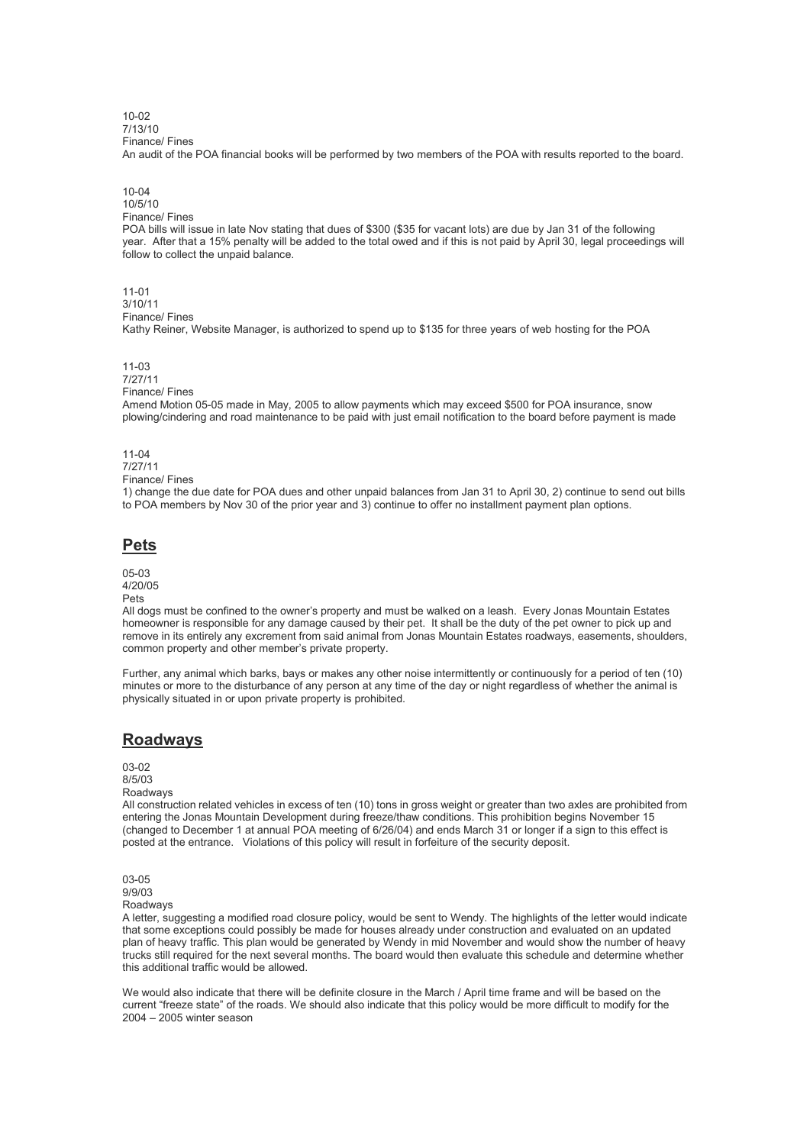10-02 7/13/10

Finance/ Fines

An audit of the POA financial books will be performed by two members of the POA with results reported to the board.

10-04 10/5/10 Finance/ Fines

POA bills will issue in late Nov stating that dues of \$300 (\$35 for vacant lots) are due by Jan 31 of the following year. After that a 15% penalty will be added to the total owed and if this is not paid by April 30, legal proceedings will follow to collect the unpaid balance.

11-01 3/10/11 Finance/ Fines Kathy Reiner, Website Manager, is authorized to spend up to \$135 for three years of web hosting for the POA

11-03 7/27/11 Finance/ Fines

Amend Motion 05-05 made in May, 2005 to allow payments which may exceed \$500 for POA insurance, snow plowing/cindering and road maintenance to be paid with just email notification to the board before payment is made

## 11-04

7/27/11

Finance/ Fines

1) change the due date for POA dues and other unpaid balances from Jan 31 to April 30, 2) continue to send out bills to POA members by Nov 30 of the prior year and 3) continue to offer no installment payment plan options.

## **Pets**

05-03 4/20/05

Pets

All dogs must be confined to the owner's property and must be walked on a leash. Every Jonas Mountain Estates homeowner is responsible for any damage caused by their pet. It shall be the duty of the pet owner to pick up and remove in its entirely any excrement from said animal from Jonas Mountain Estates roadways, easements, shoulders, common property and other member's private property.

Further, any animal which barks, bays or makes any other noise intermittently or continuously for a period of ten (10) minutes or more to the disturbance of any person at any time of the day or night regardless of whether the animal is physically situated in or upon private property is prohibited.

## **Roadways**

03-02 8/5/03

### Roadways

All construction related vehicles in excess of ten (10) tons in gross weight or greater than two axles are prohibited from entering the Jonas Mountain Development during freeze/thaw conditions. This prohibition begins November 15 (changed to December 1 at annual POA meeting of 6/26/04) and ends March 31 or longer if a sign to this effect is posted at the entrance. Violations of this policy will result in forfeiture ofthe security deposit.

03-05 9/9/03

Roadways

A letter, suggesting a modified road closure policy, would be sent to Wendy. The highlights of the letter would indicate that some exceptions could possibly be made forhouses already under construction and evaluated on an updated plan of heavy traffic. This plan would be generated by Wendy in mid November and would show the number of heavy trucks still required for the next several months. The board would then evaluate this schedule and determine whether<br>this additional traffic would be allowed

We would also indicate that there will be definite closure in the March / April time frame and will be based on the current "freeze state" of the roads. We should also indicate that this policy would be more difficult to modify for the 2004 – 2005 winter season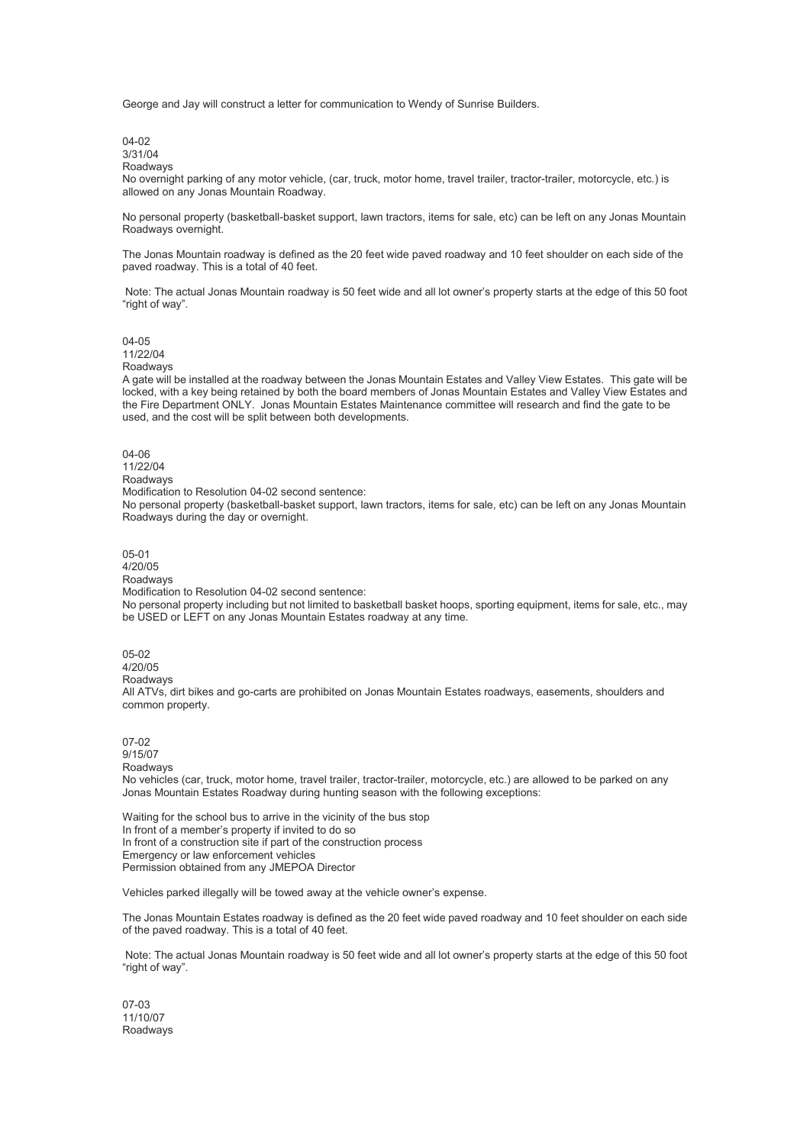George and Jay will construct a letter for communication to Wendy of Sunrise Builders.

04-02 3/31/04

Roadways

No overnight parking of any motor vehicle, (car, truck, motor home, travel trailer, tractor-trailer, motorcycle, etc.) is allowed on any Jonas Mountain Roadway.

No personal property (basketball-basket support, lawn tractors, items for sale, etc) can be left on any Jonas Mountain Roadways overnight.

The Jonas Mountain roadway is defined as the 20 feet wide paved roadway and 10 feet shoulder on each side of the paved roadway. This is a total of 40 feet.

Note: The actual Jonas Mountain roadway is 50 feet wide and all lot owner's property starts at the edge of this 50 foot "right of way".

04-05 11/22/04

Roadways

A gate will be installed at the roadway between the Jonas Mountain Estates and Valley View Estates. This gate will be locked, with a key being retained by both the board members of Jonas Mountain Estates and Valley View Estates and the Fire Department ONLY. Jonas Mountain Estates Maintenance committee will research and find the gate to be used, and the cost will be split between both developments.

04-06 11/22/04 Roadways

Modification to Resolution 04-02 second sentence:

No personal property (basketball-basket support, lawn tractors, items for sale, etc) can be left on any Jonas Mountain Roadways during the day or overnight.

05-01 4/20/05 Roadways Modification to Resolution 04-02 second sentence: No personal property including but not limited to basketball basket hoops, sporting equipment, items for sale, etc., may be USED or LEFT on any Jonas Mountain Estates roadway at any time.

05-02 4/20/05 Roadways All ATVs, dirt bikes and go-carts are prohibited on Jonas Mountain Estates roadways, easements, shoulders and common property.

07-02 9/15/07 Roadways No vehicles (car, truck, motor home, travel trailer, tractor-trailer, motorcycle, etc.) are allowed to be parked on any Jonas Mountain Estates Roadway during hunting season with the following exceptions:<br>Waiting for the school bus to arrive in the vicinity of the bus stop

In front of a member's property if invited to do so In front of a construction site if part of the construction process Emergency or law enforcement vehicles Permission obtained from any JMEPOA Director

Vehicles parked illegally will be towed away at the vehicle owner's expense.

The Jonas Mountain Estates roadway is defined as the 20 feet wide paved roadway and 10 feet shoulder on each side of the paved roadway. This is a total of 40 feet.

Note: The actual Jonas Mountain roadway is 50 feet wide and all lot owner's property starts at the edge of this 50 foot "right of way".

07-03 11/10/07 Roadways